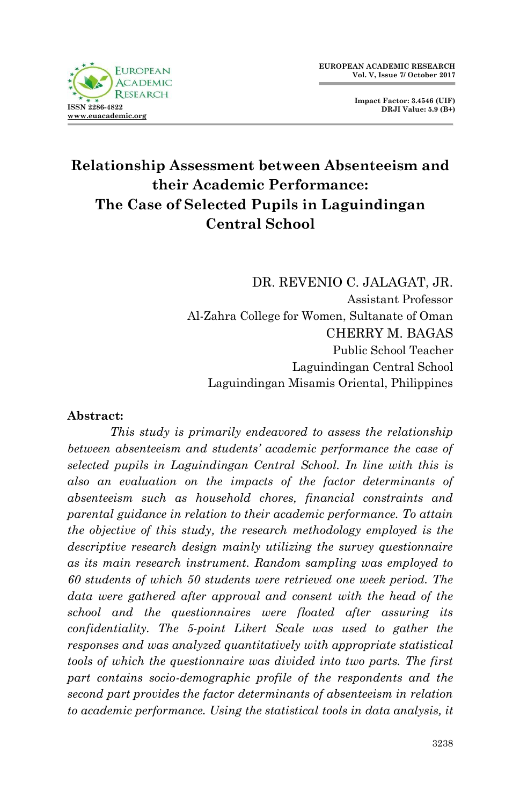

**Impact Factor: 3.4546 (UIF) DRJI Value: 5.9 (B+)**

# **Relationship Assessment between Absenteeism and their Academic Performance: The Case of Selected Pupils in Laguindingan Central School**

DR. REVENIO C. JALAGAT, JR. Assistant Professor Al-Zahra College for Women, Sultanate of Oman CHERRY M. BAGAS Public School Teacher Laguindingan Central School Laguindingan Misamis Oriental, Philippines

#### **Abstract:**

*This study is primarily endeavored to assess the relationship between absenteeism and students' academic performance the case of selected pupils in Laguindingan Central School. In line with this is also an evaluation on the impacts of the factor determinants of absenteeism such as household chores, financial constraints and parental guidance in relation to their academic performance. To attain the objective of this study, the research methodology employed is the descriptive research design mainly utilizing the survey questionnaire as its main research instrument. Random sampling was employed to 60 students of which 50 students were retrieved one week period. The*  data were gathered after approval and consent with the head of the *school and the questionnaires were floated after assuring its confidentiality. The 5-point Likert Scale was used to gather the responses and was analyzed quantitatively with appropriate statistical tools of which the questionnaire was divided into two parts. The first*  part contains socio-demographic profile of the respondents and the *second part provides the factor determinants of absenteeism in relation to academic performance. Using the statistical tools in data analysis, it*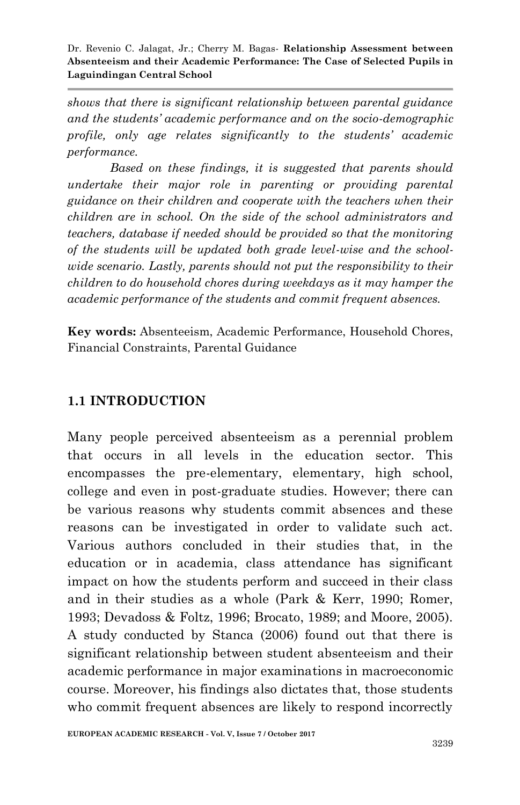*shows that there is significant relationship between parental guidance and the students' academic performance and on the socio-demographic profile, only age relates significantly to the students' academic performance.* 

*Based on these findings, it is suggested that parents should undertake their major role in parenting or providing parental guidance on their children and cooperate with the teachers when their children are in school. On the side of the school administrators and teachers, database if needed should be provided so that the monitoring of the students will be updated both grade level-wise and the schoolwide scenario. Lastly, parents should not put the responsibility to their children to do household chores during weekdays as it may hamper the academic performance of the students and commit frequent absences.*

**Key words:** Absenteeism, Academic Performance, Household Chores, Financial Constraints, Parental Guidance

#### **1.1 INTRODUCTION**

Many people perceived absenteeism as a perennial problem that occurs in all levels in the education sector. This encompasses the pre-elementary, elementary, high school, college and even in post-graduate studies. However; there can be various reasons why students commit absences and these reasons can be investigated in order to validate such act. Various authors concluded in their studies that, in the education or in academia, class attendance has significant impact on how the students perform and succeed in their class and in their studies as a whole (Park & Kerr, 1990; Romer, 1993; Devadoss & Foltz, 1996; Brocato, 1989; and Moore, 2005). A study conducted by Stanca (2006) found out that there is significant relationship between student absenteeism and their academic performance in major examinations in macroeconomic course. Moreover, his findings also dictates that, those students who commit frequent absences are likely to respond incorrectly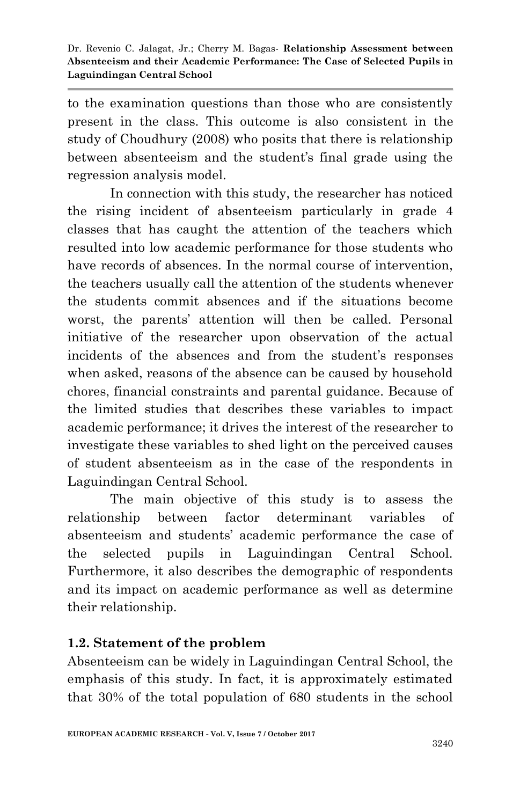to the examination questions than those who are consistently present in the class. This outcome is also consistent in the study of Choudhury (2008) who posits that there is relationship between absenteeism and the student's final grade using the regression analysis model.

In connection with this study, the researcher has noticed the rising incident of absenteeism particularly in grade 4 classes that has caught the attention of the teachers which resulted into low academic performance for those students who have records of absences. In the normal course of intervention, the teachers usually call the attention of the students whenever the students commit absences and if the situations become worst, the parents' attention will then be called. Personal initiative of the researcher upon observation of the actual incidents of the absences and from the student's responses when asked, reasons of the absence can be caused by household chores, financial constraints and parental guidance. Because of the limited studies that describes these variables to impact academic performance; it drives the interest of the researcher to investigate these variables to shed light on the perceived causes of student absenteeism as in the case of the respondents in Laguindingan Central School.

The main objective of this study is to assess the relationship between factor determinant variables of absenteeism and students' academic performance the case of the selected pupils in Laguindingan Central School. Furthermore, it also describes the demographic of respondents and its impact on academic performance as well as determine their relationship.

## **1.2. Statement of the problem**

Absenteeism can be widely in Laguindingan Central School, the emphasis of this study. In fact, it is approximately estimated that 30% of the total population of 680 students in the school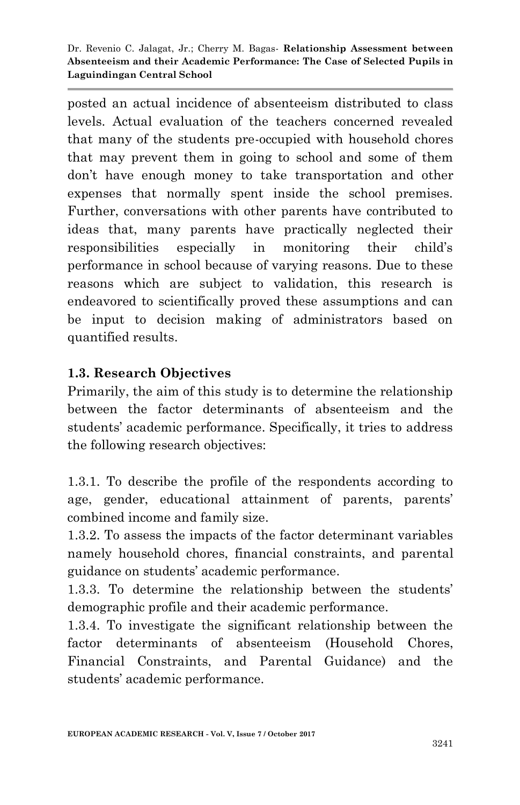posted an actual incidence of absenteeism distributed to class levels. Actual evaluation of the teachers concerned revealed that many of the students pre-occupied with household chores that may prevent them in going to school and some of them don't have enough money to take transportation and other expenses that normally spent inside the school premises. Further, conversations with other parents have contributed to ideas that, many parents have practically neglected their responsibilities especially in monitoring their child's performance in school because of varying reasons. Due to these reasons which are subject to validation, this research is endeavored to scientifically proved these assumptions and can be input to decision making of administrators based on quantified results.

#### **1.3. Research Objectives**

Primarily, the aim of this study is to determine the relationship between the factor determinants of absenteeism and the students' academic performance. Specifically, it tries to address the following research objectives:

1.3.1. To describe the profile of the respondents according to age, gender, educational attainment of parents, parents' combined income and family size.

1.3.2. To assess the impacts of the factor determinant variables namely household chores, financial constraints, and parental guidance on students' academic performance.

1.3.3. To determine the relationship between the students' demographic profile and their academic performance.

1.3.4. To investigate the significant relationship between the factor determinants of absenteeism (Household Chores, Financial Constraints, and Parental Guidance) and the students' academic performance.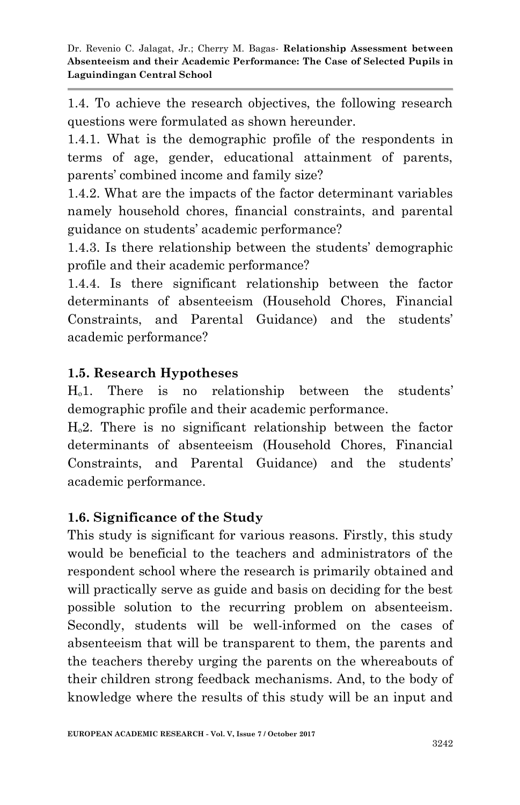1.4. To achieve the research objectives, the following research questions were formulated as shown hereunder.

1.4.1. What is the demographic profile of the respondents in terms of age, gender, educational attainment of parents, parents' combined income and family size?

1.4.2. What are the impacts of the factor determinant variables namely household chores, financial constraints, and parental guidance on students' academic performance?

1.4.3. Is there relationship between the students' demographic profile and their academic performance?

1.4.4. Is there significant relationship between the factor determinants of absenteeism (Household Chores, Financial Constraints, and Parental Guidance) and the students' academic performance?

## **1.5. Research Hypotheses**

 $H_0$ 1. There is no relationship between the students' demographic profile and their academic performance.

 $H<sub>0</sub>2$ . There is no significant relationship between the factor determinants of absenteeism (Household Chores, Financial Constraints, and Parental Guidance) and the students' academic performance.

#### **1.6. Significance of the Study**

This study is significant for various reasons. Firstly, this study would be beneficial to the teachers and administrators of the respondent school where the research is primarily obtained and will practically serve as guide and basis on deciding for the best possible solution to the recurring problem on absenteeism. Secondly, students will be well-informed on the cases of absenteeism that will be transparent to them, the parents and the teachers thereby urging the parents on the whereabouts of their children strong feedback mechanisms. And, to the body of knowledge where the results of this study will be an input and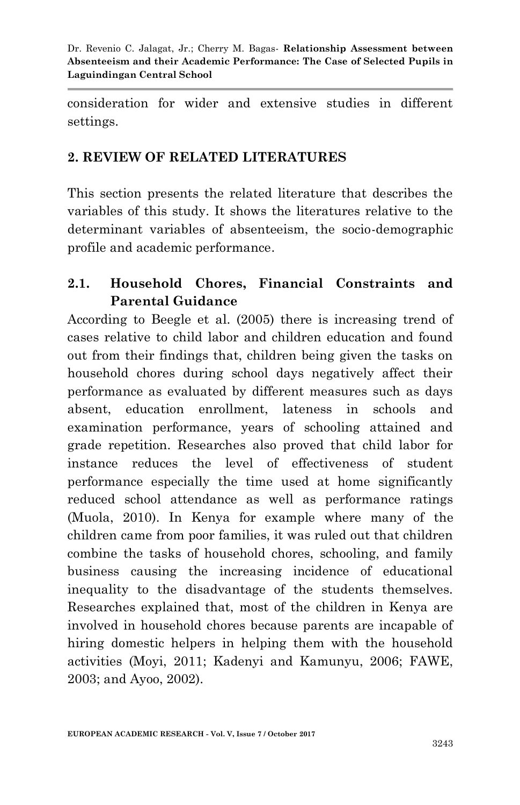consideration for wider and extensive studies in different settings.

## **2. REVIEW OF RELATED LITERATURES**

This section presents the related literature that describes the variables of this study. It shows the literatures relative to the determinant variables of absenteeism, the socio-demographic profile and academic performance.

## **2.1. Household Chores, Financial Constraints and Parental Guidance**

According to Beegle et al. (2005) there is increasing trend of cases relative to child labor and children education and found out from their findings that, children being given the tasks on household chores during school days negatively affect their performance as evaluated by different measures such as days absent, education enrollment, lateness in schools and examination performance, years of schooling attained and grade repetition. Researches also proved that child labor for instance reduces the level of effectiveness of student performance especially the time used at home significantly reduced school attendance as well as performance ratings (Muola, 2010). In Kenya for example where many of the children came from poor families, it was ruled out that children combine the tasks of household chores, schooling, and family business causing the increasing incidence of educational inequality to the disadvantage of the students themselves. Researches explained that, most of the children in Kenya are involved in household chores because parents are incapable of hiring domestic helpers in helping them with the household activities (Moyi, 2011; Kadenyi and Kamunyu, 2006; FAWE, 2003; and Ayoo, 2002).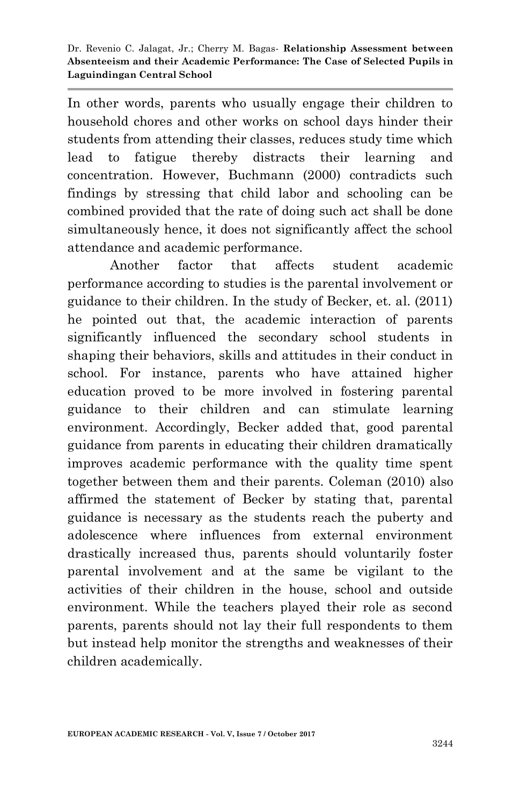In other words, parents who usually engage their children to household chores and other works on school days hinder their students from attending their classes, reduces study time which lead to fatigue thereby distracts their learning and concentration. However, Buchmann (2000) contradicts such findings by stressing that child labor and schooling can be combined provided that the rate of doing such act shall be done simultaneously hence, it does not significantly affect the school attendance and academic performance.

Another factor that affects student academic performance according to studies is the parental involvement or guidance to their children. In the study of Becker, et. al. (2011) he pointed out that, the academic interaction of parents significantly influenced the secondary school students in shaping their behaviors, skills and attitudes in their conduct in school. For instance, parents who have attained higher education proved to be more involved in fostering parental guidance to their children and can stimulate learning environment. Accordingly, Becker added that, good parental guidance from parents in educating their children dramatically improves academic performance with the quality time spent together between them and their parents. Coleman (2010) also affirmed the statement of Becker by stating that, parental guidance is necessary as the students reach the puberty and adolescence where influences from external environment drastically increased thus, parents should voluntarily foster parental involvement and at the same be vigilant to the activities of their children in the house, school and outside environment. While the teachers played their role as second parents, parents should not lay their full respondents to them but instead help monitor the strengths and weaknesses of their children academically.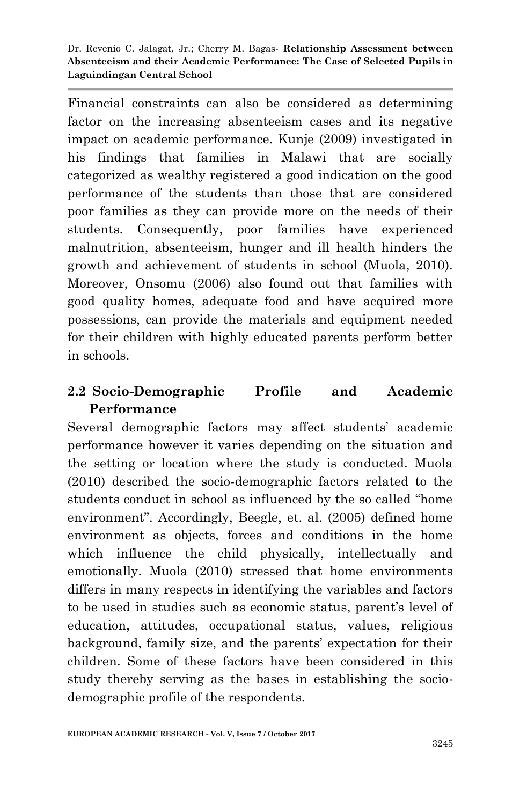Financial constraints can also be considered as determining factor on the increasing absenteeism cases and its negative impact on academic performance. Kunje (2009) investigated in his findings that families in Malawi that are socially categorized as wealthy registered a good indication on the good performance of the students than those that are considered poor families as they can provide more on the needs of their students. Consequently, poor families have experienced malnutrition, absenteeism, hunger and ill health hinders the growth and achievement of students in school (Muola, 2010). Moreover, Onsomu (2006) also found out that families with good quality homes, adequate food and have acquired more possessions, can provide the materials and equipment needed for their children with highly educated parents perform better in schools.

## **2.2 Socio-Demographic Profile and Academic Performance**

Several demographic factors may affect students' academic performance however it varies depending on the situation and the setting or location where the study is conducted. Muola (2010) described the socio-demographic factors related to the students conduct in school as influenced by the so called "home environment". Accordingly, Beegle, et. al. (2005) defined home environment as objects, forces and conditions in the home which influence the child physically, intellectually and emotionally. Muola (2010) stressed that home environments differs in many respects in identifying the variables and factors to be used in studies such as economic status, parent's level of education, attitudes, occupational status, values, religious background, family size, and the parents' expectation for their children. Some of these factors have been considered in this study thereby serving as the bases in establishing the sociodemographic profile of the respondents.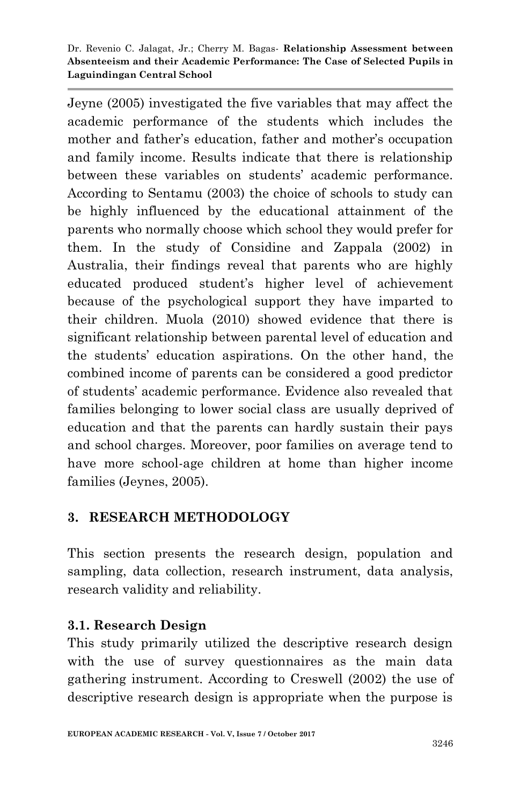Jeyne (2005) investigated the five variables that may affect the academic performance of the students which includes the mother and father's education, father and mother's occupation and family income. Results indicate that there is relationship between these variables on students' academic performance. According to Sentamu (2003) the choice of schools to study can be highly influenced by the educational attainment of the parents who normally choose which school they would prefer for them. In the study of Considine and Zappala (2002) in Australia, their findings reveal that parents who are highly educated produced student's higher level of achievement because of the psychological support they have imparted to their children. Muola (2010) showed evidence that there is significant relationship between parental level of education and the students' education aspirations. On the other hand, the combined income of parents can be considered a good predictor of students' academic performance. Evidence also revealed that families belonging to lower social class are usually deprived of education and that the parents can hardly sustain their pays and school charges. Moreover, poor families on average tend to have more school-age children at home than higher income families (Jeynes, 2005).

## **3. RESEARCH METHODOLOGY**

This section presents the research design, population and sampling, data collection, research instrument, data analysis, research validity and reliability.

#### **3.1. Research Design**

This study primarily utilized the descriptive research design with the use of survey questionnaires as the main data gathering instrument. According to Creswell (2002) the use of descriptive research design is appropriate when the purpose is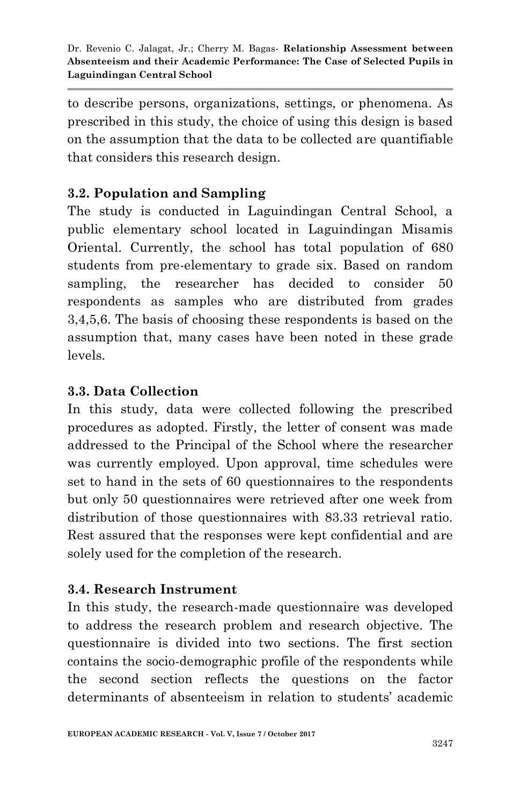to describe persons, organizations, settings, or phenomena. As prescribed in this study, the choice of using this design is based on the assumption that the data to be collected are quantifiable that considers this research design.

# **3.2. Population and Sampling**

The study is conducted in Laguindingan Central School, a public elementary school located in Laguindingan Misamis Oriental. Currently, the school has total population of 680 students from pre-elementary to grade six. Based on random sampling, the researcher has decided to consider 50 respondents as samples who are distributed from grades 3,4,5,6. The basis of choosing these respondents is based on the assumption that, many cases have been noted in these grade levels.

## **3.3. Data Collection**

In this study, data were collected following the prescribed procedures as adopted. Firstly, the letter of consent was made addressed to the Principal of the School where the researcher was currently employed. Upon approval, time schedules were set to hand in the sets of 60 questionnaires to the respondents but only 50 questionnaires were retrieved after one week from distribution of those questionnaires with 83.33 retrieval ratio. Rest assured that the responses were kept confidential and are solely used for the completion of the research.

## **3.4. Research Instrument**

In this study, the research-made questionnaire was developed to address the research problem and research objective. The questionnaire is divided into two sections. The first section contains the socio-demographic profile of the respondents while the second section reflects the questions on the factor determinants of absenteeism in relation to students' academic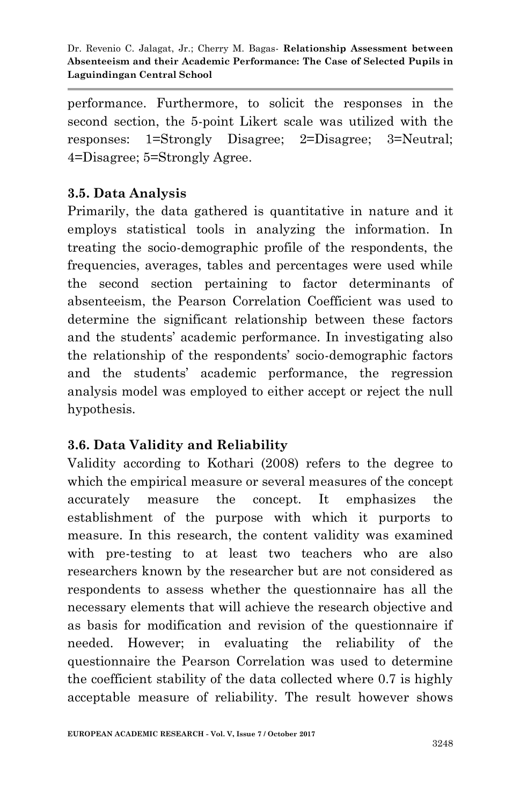performance. Furthermore, to solicit the responses in the second section, the 5-point Likert scale was utilized with the responses: 1=Strongly Disagree; 2=Disagree; 3=Neutral; 4=Disagree; 5=Strongly Agree.

### **3.5. Data Analysis**

Primarily, the data gathered is quantitative in nature and it employs statistical tools in analyzing the information. In treating the socio-demographic profile of the respondents, the frequencies, averages, tables and percentages were used while the second section pertaining to factor determinants of absenteeism, the Pearson Correlation Coefficient was used to determine the significant relationship between these factors and the students' academic performance. In investigating also the relationship of the respondents' socio-demographic factors and the students' academic performance, the regression analysis model was employed to either accept or reject the null hypothesis.

#### **3.6. Data Validity and Reliability**

Validity according to Kothari (2008) refers to the degree to which the empirical measure or several measures of the concept accurately measure the concept. It emphasizes the establishment of the purpose with which it purports to measure. In this research, the content validity was examined with pre-testing to at least two teachers who are also researchers known by the researcher but are not considered as respondents to assess whether the questionnaire has all the necessary elements that will achieve the research objective and as basis for modification and revision of the questionnaire if needed. However; in evaluating the reliability of the questionnaire the Pearson Correlation was used to determine the coefficient stability of the data collected where 0.7 is highly acceptable measure of reliability. The result however shows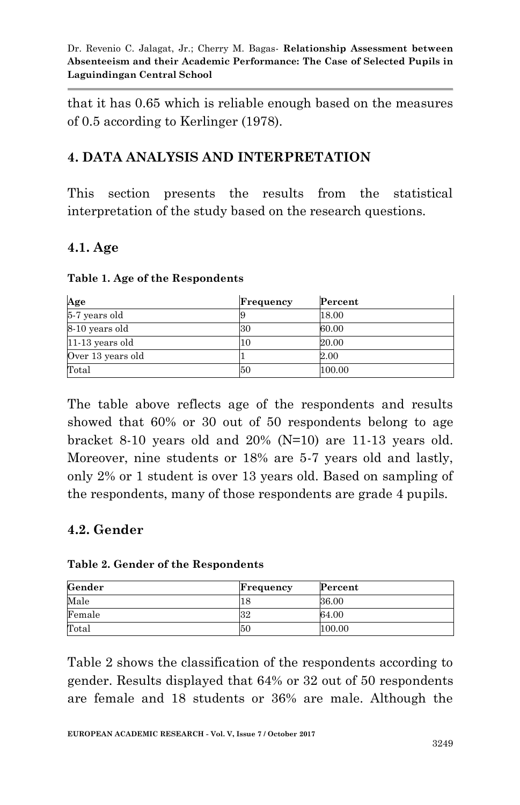that it has 0.65 which is reliable enough based on the measures of 0.5 according to Kerlinger (1978).

## **4. DATA ANALYSIS AND INTERPRETATION**

This section presents the results from the statistical interpretation of the study based on the research questions.

#### **4.1. Age**

|  |  |  | Table 1. Age of the Respondents |
|--|--|--|---------------------------------|
|--|--|--|---------------------------------|

| Age               | Frequency | Percent |
|-------------------|-----------|---------|
| 5-7 years old     |           | 18.00   |
| 8-10 years old    | 30        | 60.00   |
| $11-13$ years old | 10        | 20.00   |
| Over 13 years old |           | 2.00    |
| Total             | 50        | 100.00  |

The table above reflects age of the respondents and results showed that 60% or 30 out of 50 respondents belong to age bracket 8-10 years old and 20% (N=10) are 11-13 years old. Moreover, nine students or 18% are 5-7 years old and lastly, only 2% or 1 student is over 13 years old. Based on sampling of the respondents, many of those respondents are grade 4 pupils.

## **4.2. Gender**

|  |  |  | Table 2. Gender of the Respondents |
|--|--|--|------------------------------------|
|--|--|--|------------------------------------|

| Gender | Frequency | Percent |
|--------|-----------|---------|
| Male   | 18        | 36.00   |
| Female | 32        | 64.00   |
| Total  | 50        | 100.00  |

Table 2 shows the classification of the respondents according to gender. Results displayed that 64% or 32 out of 50 respondents are female and 18 students or 36% are male. Although the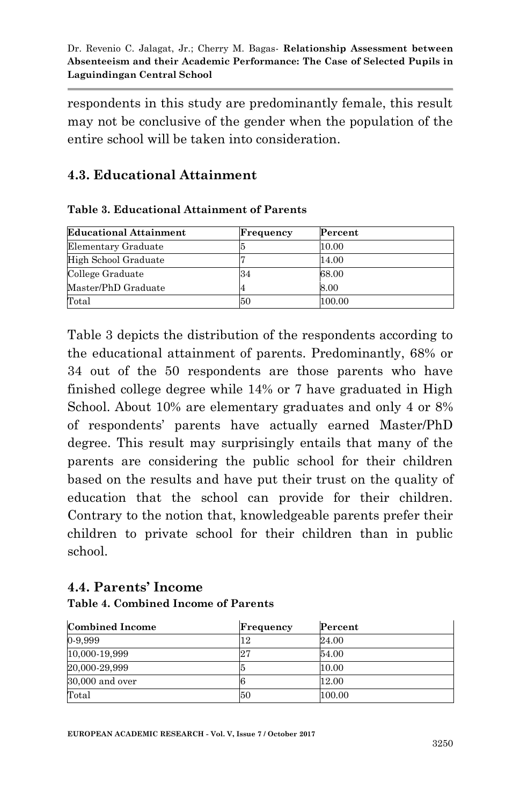respondents in this study are predominantly female, this result may not be conclusive of the gender when the population of the entire school will be taken into consideration.

# **4.3. Educational Attainment**

#### **Table 3. Educational Attainment of Parents**

| <b>Educational Attainment</b> | Frequency | Percent |
|-------------------------------|-----------|---------|
| Elementary Graduate           |           | 10.00   |
| High School Graduate          |           | 14.00   |
| College Graduate              | 34        | 68.00   |
| Master/PhD Graduate           |           | 8.00    |
| Total                         | 50        | 100.00  |

Table 3 depicts the distribution of the respondents according to the educational attainment of parents. Predominantly, 68% or 34 out of the 50 respondents are those parents who have finished college degree while 14% or 7 have graduated in High School. About 10% are elementary graduates and only 4 or 8% of respondents' parents have actually earned Master/PhD degree. This result may surprisingly entails that many of the parents are considering the public school for their children based on the results and have put their trust on the quality of education that the school can provide for their children. Contrary to the notion that, knowledgeable parents prefer their children to private school for their children than in public school.

#### **4.4. Parents' Income Table 4. Combined Income of Parents**

| <b>Combined Income</b> | Frequency | Percent |
|------------------------|-----------|---------|
| 0-9,999                |           | 24.00   |
| 10,000-19,999          | 27        | 54.00   |
| 20,000-29,999          |           | 10.00   |
| $30,000$ and over      |           | 12.00   |
| Total                  | 50        | 100.00  |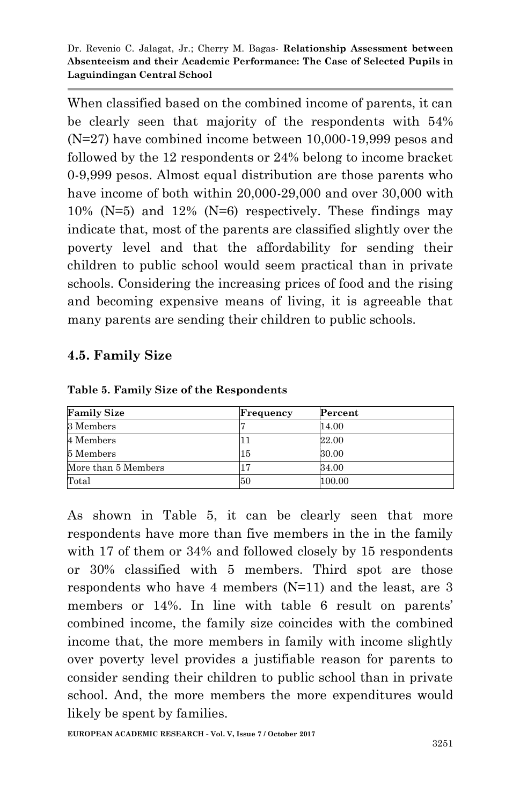When classified based on the combined income of parents, it can be clearly seen that majority of the respondents with 54% (N=27) have combined income between 10,000-19,999 pesos and followed by the 12 respondents or 24% belong to income bracket 0-9,999 pesos. Almost equal distribution are those parents who have income of both within 20,000-29,000 and over 30,000 with 10% (N=5) and 12% (N=6) respectively. These findings may indicate that, most of the parents are classified slightly over the poverty level and that the affordability for sending their children to public school would seem practical than in private schools. Considering the increasing prices of food and the rising and becoming expensive means of living, it is agreeable that many parents are sending their children to public schools.

#### **4.5. Family Size**

| <b>Family Size</b>  | Frequency | Percent |
|---------------------|-----------|---------|
| 3 Members           |           | 14.00   |
| 4 Members           |           | 22.00   |
| 5 Members           | 15        | 30.00   |
| More than 5 Members |           | 34.00   |
| Total               | 50        | 100.00  |

**Table 5. Family Size of the Respondents**

As shown in Table 5, it can be clearly seen that more respondents have more than five members in the in the family with 17 of them or 34% and followed closely by 15 respondents or 30% classified with 5 members. Third spot are those respondents who have 4 members (N=11) and the least, are 3 members or 14%. In line with table 6 result on parents' combined income, the family size coincides with the combined income that, the more members in family with income slightly over poverty level provides a justifiable reason for parents to consider sending their children to public school than in private school. And, the more members the more expenditures would likely be spent by families.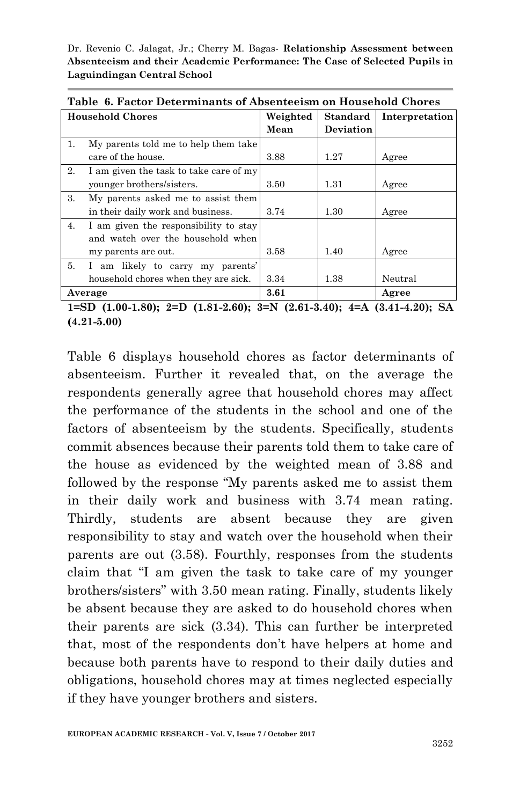| Table 6. Pactor Determinants of Absenteelsm on Household Unores |                                        |          |                  |                |  |
|-----------------------------------------------------------------|----------------------------------------|----------|------------------|----------------|--|
|                                                                 | <b>Household Chores</b>                | Weighted | <b>Standard</b>  | Interpretation |  |
|                                                                 |                                        | Mean     | <b>Deviation</b> |                |  |
| 1.                                                              | My parents told me to help them take   |          |                  |                |  |
|                                                                 | care of the house.                     | 3.88     | 1.27             | Agree          |  |
| 2.                                                              | I am given the task to take care of my |          |                  |                |  |
|                                                                 | younger brothers/sisters.              | 3.50     | 1.31             | Agree          |  |
| 3.                                                              | My parents asked me to assist them     |          |                  |                |  |
|                                                                 | in their daily work and business.      | 3.74     | 1.30             | Agree          |  |
| 4.                                                              | I am given the responsibility to stay  |          |                  |                |  |
|                                                                 | and watch over the household when      |          |                  |                |  |
|                                                                 | my parents are out.                    | 3.58     | 1.40             | Agree          |  |
| 5.                                                              | I am likely to carry my parents'       |          |                  |                |  |
|                                                                 | household chores when they are sick.   | 3.34     | 1.38             | Neutral        |  |
|                                                                 | Average                                | 3.61     |                  | Agree          |  |

**Table 6. Factor Determinants of Absenteeism on Household Chores**

**1=SD (1.00-1.80); 2=D (1.81-2.60); 3=N (2.61-3.40); 4=A (3.41-4.20); SA (4.21-5.00)**

Table 6 displays household chores as factor determinants of absenteeism. Further it revealed that, on the average the respondents generally agree that household chores may affect the performance of the students in the school and one of the factors of absenteeism by the students. Specifically, students commit absences because their parents told them to take care of the house as evidenced by the weighted mean of 3.88 and followed by the response "My parents asked me to assist them in their daily work and business with 3.74 mean rating. Thirdly, students are absent because they are given responsibility to stay and watch over the household when their parents are out (3.58). Fourthly, responses from the students claim that "I am given the task to take care of my younger brothers/sisters" with 3.50 mean rating. Finally, students likely be absent because they are asked to do household chores when their parents are sick (3.34). This can further be interpreted that, most of the respondents don't have helpers at home and because both parents have to respond to their daily duties and obligations, household chores may at times neglected especially if they have younger brothers and sisters.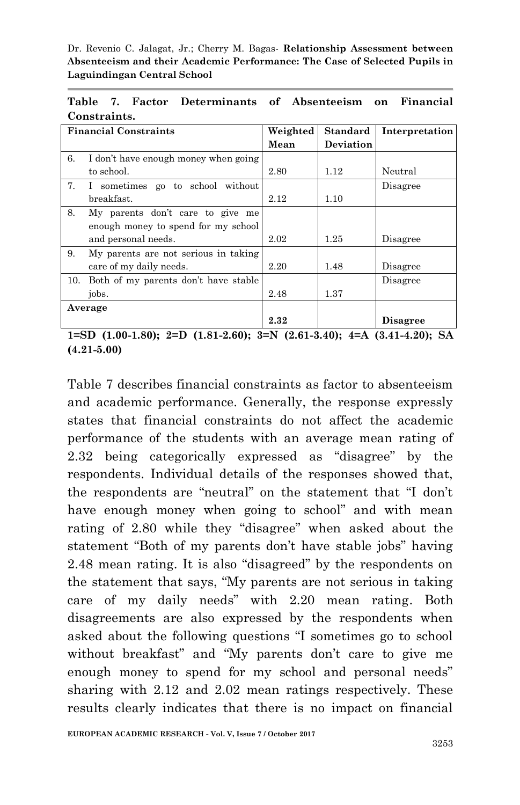**Table 7. Factor Determinants of Absenteeism on Financial Constraints.**

|     | <b>Financial Constraints</b>         | Weighted | <b>Standard</b>  | Interpretation  |
|-----|--------------------------------------|----------|------------------|-----------------|
|     |                                      | Mean     | <b>Deviation</b> |                 |
| 6.  | I don't have enough money when going |          |                  |                 |
|     | to school.                           | 2.80     | 1.12             | Neutral         |
| 7.  | I sometimes go to school without     |          |                  | Disagree        |
|     | breakfast.                           | 2.12     | 1.10             |                 |
| 8.  | My parents don't care to give me     |          |                  |                 |
|     | enough money to spend for my school  |          |                  |                 |
|     | and personal needs.                  | 2.02     | 1.25             | Disagree        |
| 9.  | My parents are not serious in taking |          |                  |                 |
|     | care of my daily needs.              | 2.20     | 1.48             | Disagree        |
| 10. | Both of my parents don't have stable |          |                  | Disagree        |
|     | jobs.                                | 2.48     | 1.37             |                 |
|     | Average                              |          |                  |                 |
|     |                                      | 2.32     |                  | <b>Disagree</b> |

**1=SD (1.00-1.80); 2=D (1.81-2.60); 3=N (2.61-3.40); 4=A (3.41-4.20); SA (4.21-5.00)**

Table 7 describes financial constraints as factor to absenteeism and academic performance. Generally, the response expressly states that financial constraints do not affect the academic performance of the students with an average mean rating of 2.32 being categorically expressed as "disagree" by the respondents. Individual details of the responses showed that, the respondents are "neutral" on the statement that "I don't have enough money when going to school" and with mean rating of 2.80 while they "disagree" when asked about the statement "Both of my parents don't have stable jobs" having 2.48 mean rating. It is also "disagreed" by the respondents on the statement that says, "My parents are not serious in taking care of my daily needs" with 2.20 mean rating. Both disagreements are also expressed by the respondents when asked about the following questions "I sometimes go to school without breakfast" and "My parents don't care to give me enough money to spend for my school and personal needs" sharing with 2.12 and 2.02 mean ratings respectively. These results clearly indicates that there is no impact on financial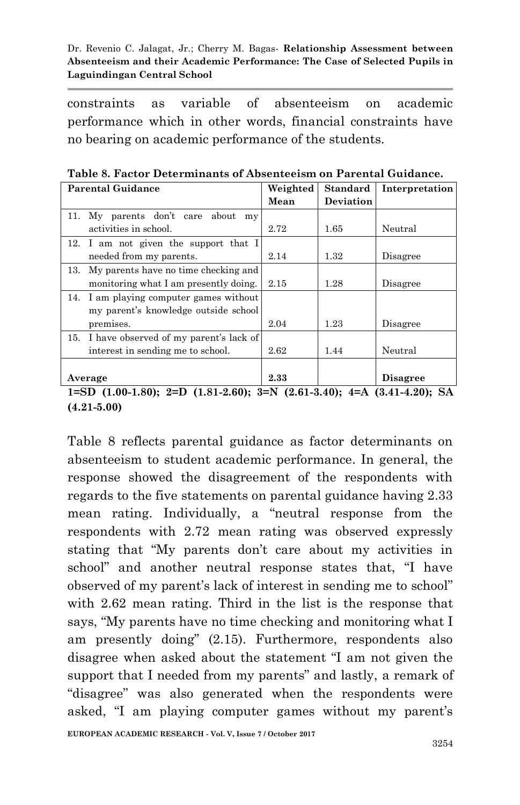constraints as variable of absenteeism on academic performance which in other words, financial constraints have no bearing on academic performance of the students.

| <b>Parental Guidance</b>                   | Weighted | <b>Standard</b> | Interpretation  |
|--------------------------------------------|----------|-----------------|-----------------|
|                                            | Mean     | Deviation       |                 |
| 11. My parents don't care about<br>my      |          |                 |                 |
| activities in school.                      | 2.72     | 1.65            | Neutral         |
| 12. I am not given the support that I      |          |                 |                 |
| needed from my parents.                    | 2.14     | 1.32            | Disagree        |
| 13. My parents have no time checking and   |          |                 |                 |
| monitoring what I am presently doing.      | 2.15     | 1.28            | Disagree        |
| 14. I am playing computer games without    |          |                 |                 |
| my parent's knowledge outside school       |          |                 |                 |
| premises.                                  | 2.04     | 1.23            | Disagree        |
| 15. I have observed of my parent's lack of |          |                 |                 |
| interest in sending me to school.          | 2.62     | 1.44            | Neutral         |
|                                            |          |                 |                 |
| Average                                    | 2.33     |                 | <b>Disagree</b> |

**Table 8. Factor Determinants of Absenteeism on Parental Guidance.**

**1=SD (1.00-1.80); 2=D (1.81-2.60); 3=N (2.61-3.40); 4=A (3.41-4.20); SA (4.21-5.00)**

Table 8 reflects parental guidance as factor determinants on absenteeism to student academic performance. In general, the response showed the disagreement of the respondents with regards to the five statements on parental guidance having 2.33 mean rating. Individually, a "neutral response from the respondents with 2.72 mean rating was observed expressly stating that "My parents don't care about my activities in school" and another neutral response states that, "I have observed of my parent's lack of interest in sending me to school" with 2.62 mean rating. Third in the list is the response that says, "My parents have no time checking and monitoring what I am presently doing" (2.15). Furthermore, respondents also disagree when asked about the statement "I am not given the support that I needed from my parents" and lastly, a remark of "disagree" was also generated when the respondents were asked, "I am playing computer games without my parent's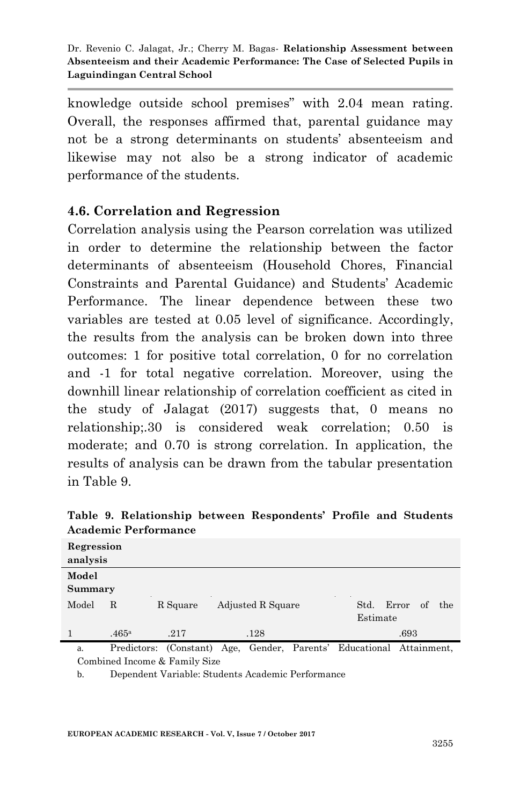knowledge outside school premises" with 2.04 mean rating. Overall, the responses affirmed that, parental guidance may not be a strong determinants on students' absenteeism and likewise may not also be a strong indicator of academic performance of the students.

## **4.6. Correlation and Regression**

Correlation analysis using the Pearson correlation was utilized in order to determine the relationship between the factor determinants of absenteeism (Household Chores, Financial Constraints and Parental Guidance) and Students' Academic Performance. The linear dependence between these two variables are tested at 0.05 level of significance. Accordingly, the results from the analysis can be broken down into three outcomes: 1 for positive total correlation, 0 for no correlation and -1 for total negative correlation. Moreover, using the downhill linear relationship of correlation coefficient as cited in the study of Jalagat (2017) suggests that, 0 means no relationship;.30 is considered weak correlation; 0.50 is moderate; and 0.70 is strong correlation. In application, the results of analysis can be drawn from the tabular presentation in Table 9.

| Regression<br>analysis |                   |          |                   |                                        |
|------------------------|-------------------|----------|-------------------|----------------------------------------|
| Model<br>Summary       |                   |          |                   |                                        |
| Model                  | R                 | R Square | Adjusted R Square | Error<br>of<br>Std.<br>the<br>Estimate |
|                        | .465 <sup>a</sup> | .217     | .128              | .693                                   |

**Table 9. Relationship between Respondents' Profile and Students Academic Performance**

a. Predictors: (Constant) Age, Gender, Parents' Educational Attainment, Combined Income & Family Size

b. Dependent Variable: Students Academic Performance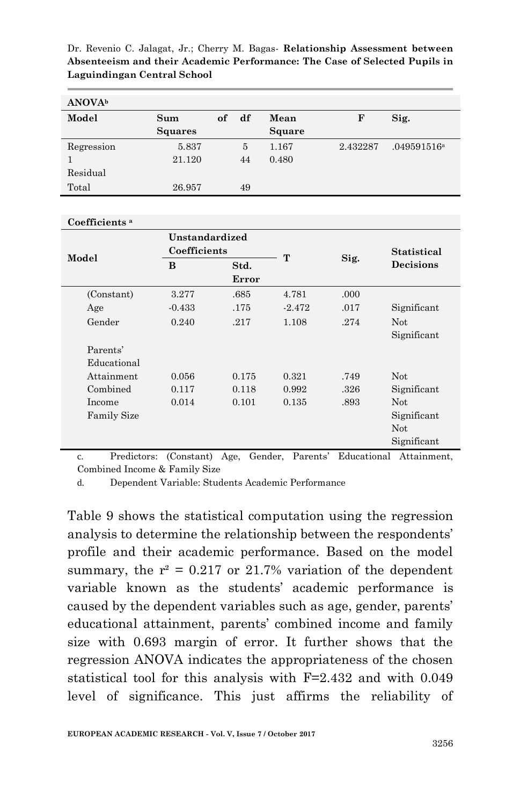| <b>ANOVA</b> <sup>b</sup> |                |    |    |        |          |                         |
|---------------------------|----------------|----|----|--------|----------|-------------------------|
| Model                     | Sum            | of | df | Mean   | F        | Sig.                    |
|                           | <b>Squares</b> |    |    | Square |          |                         |
| Regression                | 5.837          |    | 5  | 1.167  | 2.432287 | .049591516 <sup>a</sup> |
|                           | 21.120         |    | 44 | 0.480  |          |                         |
| Residual                  |                |    |    |        |          |                         |
| Total                     | 26.957         |    | 49 |        |          |                         |

#### **Coefficients <sup>a</sup>**

| Model                   | Unstandardized<br>Coefficients |                                                                  |          |      | <b>Statistical</b>                             |
|-------------------------|--------------------------------|------------------------------------------------------------------|----------|------|------------------------------------------------|
|                         | B                              | Std.<br>Error                                                    | т        | Sig. | Decisions                                      |
| (Constant)              | 3.277                          | .685                                                             | 4.781    | .000 |                                                |
| Age                     | $-0.433$                       | .175                                                             | $-2.472$ | .017 | Significant                                    |
| Gender                  | 0.240                          | .217                                                             | 1.108    | .274 | <b>Not</b><br>Significant                      |
| Parents'<br>Educational |                                |                                                                  |          |      |                                                |
| Attainment              | 0.056                          | 0.175                                                            | 0.321    | .749 | <b>Not</b>                                     |
| Combined                | 0.117                          | 0.118                                                            | 0.992    | .326 | Significant                                    |
| Income                  | 0.014                          | 0.101                                                            | 0.135    | .893 | Not.                                           |
| <b>Family Size</b>      |                                |                                                                  |          |      | Significant<br><b>Not</b>                      |
| $\sim$                  |                                | $D_{\text{modistensor}}$ (Constant) $\Lambda_{\text{cm}}$ Condom |          |      | Significant<br>Domants' Educational Attoinment |

c. Predictors: (Constant) Age, Gender, Parents' Educational Attainment, Combined Income & Family Size

d. Dependent Variable: Students Academic Performance

Table 9 shows the statistical computation using the regression analysis to determine the relationship between the respondents' profile and their academic performance. Based on the model summary, the  $r^2 = 0.217$  or 21.7% variation of the dependent variable known as the students' academic performance is caused by the dependent variables such as age, gender, parents' educational attainment, parents' combined income and family size with 0.693 margin of error. It further shows that the regression ANOVA indicates the appropriateness of the chosen statistical tool for this analysis with F=2.432 and with 0.049 level of significance. This just affirms the reliability of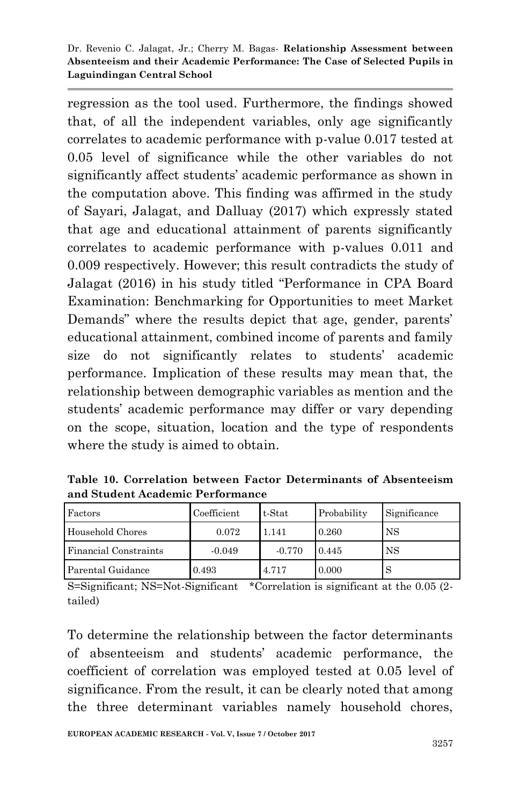regression as the tool used. Furthermore, the findings showed that, of all the independent variables, only age significantly correlates to academic performance with p-value 0.017 tested at 0.05 level of significance while the other variables do not significantly affect students' academic performance as shown in the computation above. This finding was affirmed in the study of Sayari, Jalagat, and Dalluay (2017) which expressly stated that age and educational attainment of parents significantly correlates to academic performance with p-values 0.011 and 0.009 respectively. However; this result contradicts the study of Jalagat (2016) in his study titled "Performance in CPA Board Examination: Benchmarking for Opportunities to meet Market Demands" where the results depict that age, gender, parents' educational attainment, combined income of parents and family size do not significantly relates to students' academic performance. Implication of these results may mean that, the relationship between demographic variables as mention and the students' academic performance may differ or vary depending on the scope, situation, location and the type of respondents where the study is aimed to obtain.

**Table 10. Correlation between Factor Determinants of Absenteeism and Student Academic Performance**

| Factors               | Coefficient | t-Stat   | Probability | Significance |
|-----------------------|-------------|----------|-------------|--------------|
| Household Chores      | 0.072       | 1.141    | 0.260       | NS           |
| Financial Constraints | $-0.049$    | $-0.770$ | 0.445       | <b>NS</b>    |
| Parental Guidance     | 0.493       | 4.717    | 0.000       | D            |

S=Significant; NS=Not-Significant \*Correlation is significant at the 0.05 (2 tailed)

To determine the relationship between the factor determinants of absenteeism and students' academic performance, the coefficient of correlation was employed tested at 0.05 level of significance. From the result, it can be clearly noted that among the three determinant variables namely household chores,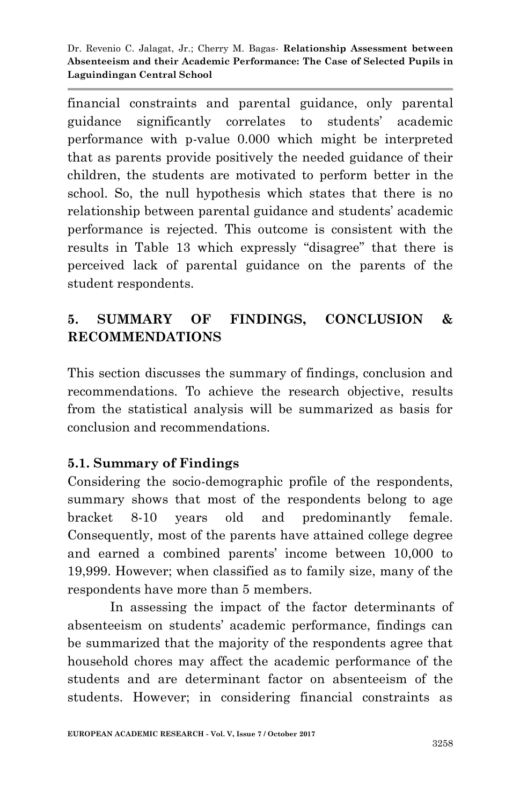financial constraints and parental guidance, only parental guidance significantly correlates to students' academic performance with p-value 0.000 which might be interpreted that as parents provide positively the needed guidance of their children, the students are motivated to perform better in the school. So, the null hypothesis which states that there is no relationship between parental guidance and students' academic performance is rejected. This outcome is consistent with the results in Table 13 which expressly "disagree" that there is perceived lack of parental guidance on the parents of the student respondents.

# **5. SUMMARY OF FINDINGS, CONCLUSION & RECOMMENDATIONS**

This section discusses the summary of findings, conclusion and recommendations. To achieve the research objective, results from the statistical analysis will be summarized as basis for conclusion and recommendations.

## **5.1. Summary of Findings**

Considering the socio-demographic profile of the respondents, summary shows that most of the respondents belong to age bracket 8-10 years old and predominantly female. Consequently, most of the parents have attained college degree and earned a combined parents' income between 10,000 to 19,999. However; when classified as to family size, many of the respondents have more than 5 members.

In assessing the impact of the factor determinants of absenteeism on students' academic performance, findings can be summarized that the majority of the respondents agree that household chores may affect the academic performance of the students and are determinant factor on absenteeism of the students. However; in considering financial constraints as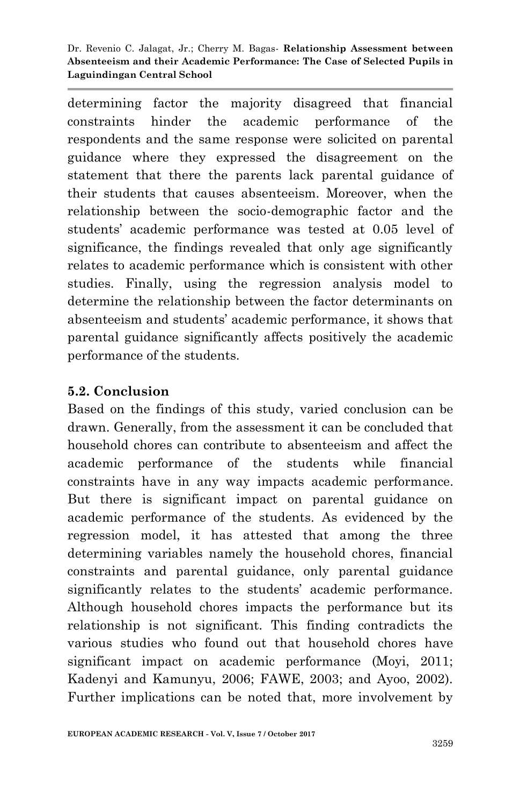determining factor the majority disagreed that financial constraints hinder the academic performance of the respondents and the same response were solicited on parental guidance where they expressed the disagreement on the statement that there the parents lack parental guidance of their students that causes absenteeism. Moreover, when the relationship between the socio-demographic factor and the students' academic performance was tested at 0.05 level of significance, the findings revealed that only age significantly relates to academic performance which is consistent with other studies. Finally, using the regression analysis model to determine the relationship between the factor determinants on absenteeism and students' academic performance, it shows that parental guidance significantly affects positively the academic performance of the students.

#### **5.2. Conclusion**

Based on the findings of this study, varied conclusion can be drawn. Generally, from the assessment it can be concluded that household chores can contribute to absenteeism and affect the academic performance of the students while financial constraints have in any way impacts academic performance. But there is significant impact on parental guidance on academic performance of the students. As evidenced by the regression model, it has attested that among the three determining variables namely the household chores, financial constraints and parental guidance, only parental guidance significantly relates to the students' academic performance. Although household chores impacts the performance but its relationship is not significant. This finding contradicts the various studies who found out that household chores have significant impact on academic performance (Moyi, 2011; Kadenyi and Kamunyu, 2006; FAWE, 2003; and Ayoo, 2002). Further implications can be noted that, more involvement by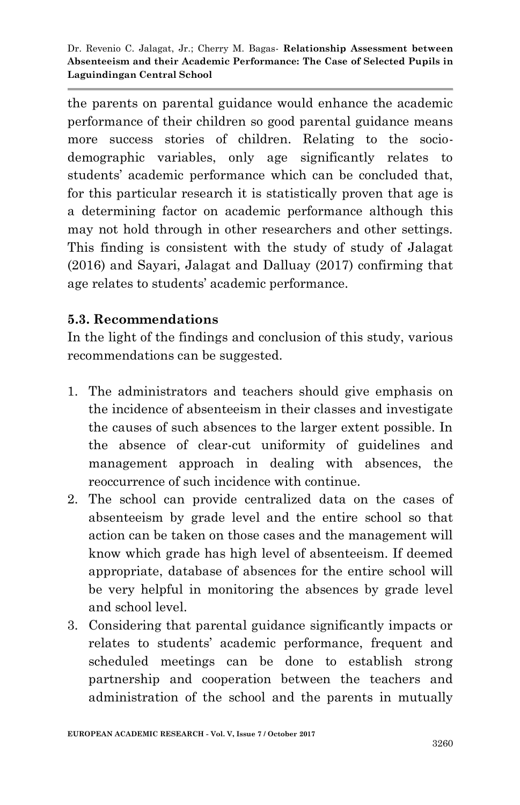the parents on parental guidance would enhance the academic performance of their children so good parental guidance means more success stories of children. Relating to the sociodemographic variables, only age significantly relates to students' academic performance which can be concluded that, for this particular research it is statistically proven that age is a determining factor on academic performance although this may not hold through in other researchers and other settings. This finding is consistent with the study of study of Jalagat (2016) and Sayari, Jalagat and Dalluay (2017) confirming that age relates to students' academic performance.

## **5.3. Recommendations**

In the light of the findings and conclusion of this study, various recommendations can be suggested.

- 1. The administrators and teachers should give emphasis on the incidence of absenteeism in their classes and investigate the causes of such absences to the larger extent possible. In the absence of clear-cut uniformity of guidelines and management approach in dealing with absences, the reoccurrence of such incidence with continue.
- 2. The school can provide centralized data on the cases of absenteeism by grade level and the entire school so that action can be taken on those cases and the management will know which grade has high level of absenteeism. If deemed appropriate, database of absences for the entire school will be very helpful in monitoring the absences by grade level and school level.
- 3. Considering that parental guidance significantly impacts or relates to students' academic performance, frequent and scheduled meetings can be done to establish strong partnership and cooperation between the teachers and administration of the school and the parents in mutually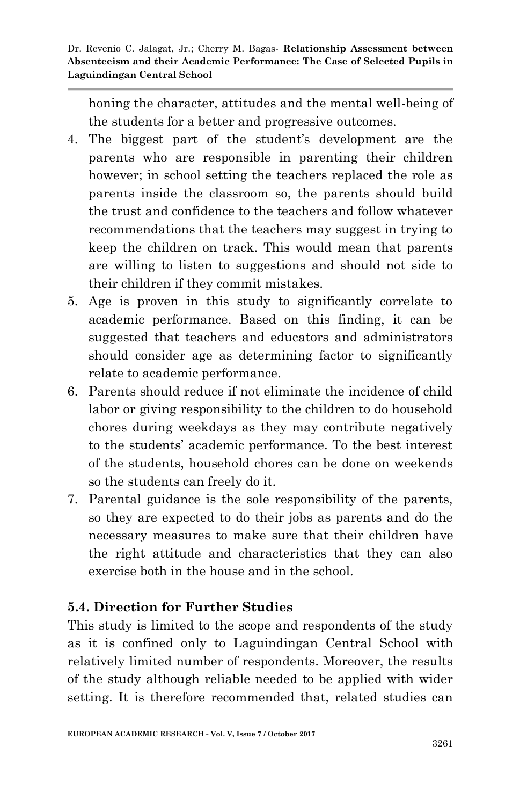honing the character, attitudes and the mental well-being of the students for a better and progressive outcomes.

- 4. The biggest part of the student's development are the parents who are responsible in parenting their children however; in school setting the teachers replaced the role as parents inside the classroom so, the parents should build the trust and confidence to the teachers and follow whatever recommendations that the teachers may suggest in trying to keep the children on track. This would mean that parents are willing to listen to suggestions and should not side to their children if they commit mistakes.
- 5. Age is proven in this study to significantly correlate to academic performance. Based on this finding, it can be suggested that teachers and educators and administrators should consider age as determining factor to significantly relate to academic performance.
- 6. Parents should reduce if not eliminate the incidence of child labor or giving responsibility to the children to do household chores during weekdays as they may contribute negatively to the students' academic performance. To the best interest of the students, household chores can be done on weekends so the students can freely do it.
- 7. Parental guidance is the sole responsibility of the parents, so they are expected to do their jobs as parents and do the necessary measures to make sure that their children have the right attitude and characteristics that they can also exercise both in the house and in the school.

# **5.4. Direction for Further Studies**

This study is limited to the scope and respondents of the study as it is confined only to Laguindingan Central School with relatively limited number of respondents. Moreover, the results of the study although reliable needed to be applied with wider setting. It is therefore recommended that, related studies can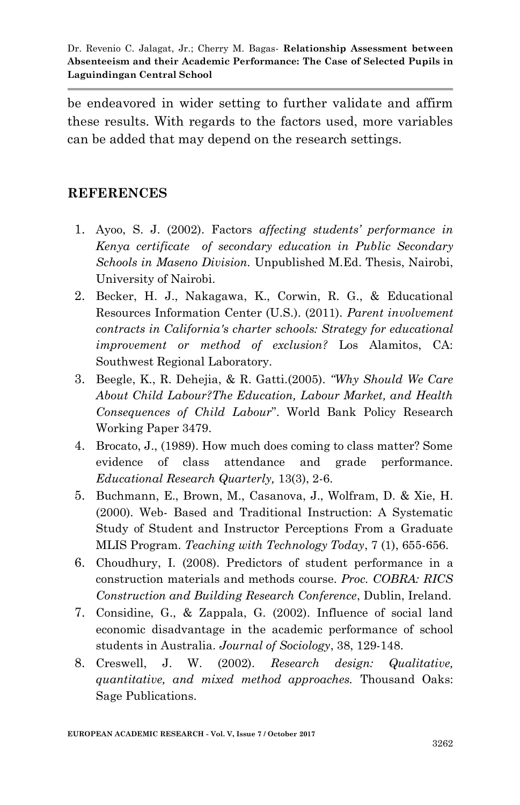be endeavored in wider setting to further validate and affirm these results. With regards to the factors used, more variables can be added that may depend on the research settings.

#### **REFERENCES**

- 1. Ayoo, S. J. (2002). Factors *affecting students' performance in Kenya certificate of secondary education in Public Secondary Schools in Maseno Division.* Unpublished M.Ed. Thesis, Nairobi, University of Nairobi.
- 2. Becker, H. J., Nakagawa, K., Corwin, R. G., & Educational Resources Information Center (U.S.). (2011). *Parent involvement contracts in California's charter schools: Strategy for educational improvement or method of exclusion?* Los Alamitos, CA: Southwest Regional Laboratory.
- 3. Beegle, K., R. Dehejia, & R. Gatti.(2005). *"Why Should We Care About Child Labour?The Education, Labour Market, and Health Consequences of Child Labour*". World Bank Policy Research Working Paper 3479.
- 4. Brocato, J., (1989). How much does coming to class matter? Some evidence of class attendance and grade performance. *Educational Research Quarterly,* 13(3), 2-6.
- 5. Buchmann, E., Brown, M., Casanova, J., Wolfram, D. & Xie, H. (2000). Web- Based and Traditional Instruction: A Systematic Study of Student and Instructor Perceptions From a Graduate MLIS Program. *Teaching with Technology Today*, 7 (1), 655-656.
- 6. Choudhury, I. (2008). Predictors of student performance in a construction materials and methods course. *Proc. COBRA: RICS Construction and Building Research Conference*, Dublin, Ireland.
- 7. Considine, G., & Zappala, G. (2002). Influence of social land economic disadvantage in the academic performance of school students in Australia. *Journal of Sociology*, 38, 129-148.
- 8. Creswell, J. W. (2002). *Research design: Qualitative, quantitative, and mixed method approaches.* Thousand Oaks: Sage Publications.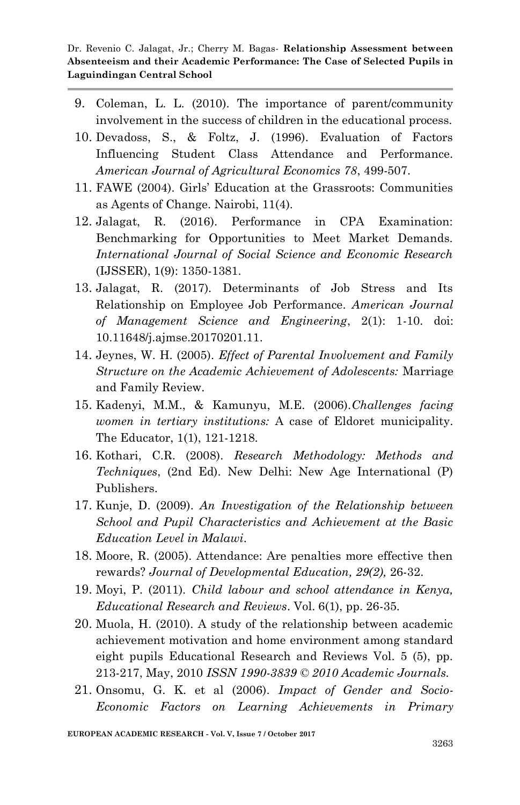- 9. Coleman, L. L. (2010). The importance of parent/community involvement in the success of children in the educational process.
- 10. Devadoss, S., & Foltz, J. (1996). Evaluation of Factors Influencing Student Class Attendance and Performance. *American Journal of Agricultural Economics 78*, 499-507.
- 11. FAWE (2004). Girls' Education at the Grassroots: Communities as Agents of Change. Nairobi, 11(4).
- 12. Jalagat, R. (2016). Performance in CPA Examination: Benchmarking for Opportunities to Meet Market Demands. *International Journal of Social Science and Economic Research* (IJSSER), 1(9): 1350-1381.
- 13. Jalagat, R. (2017). Determinants of Job Stress and Its Relationship on Employee Job Performance. *American Journal of Management Science and Engineering*, 2(1): 1-10. doi: 10.11648/j.ajmse.20170201.11.
- 14. Jeynes, W. H. (2005). *Effect of Parental Involvement and Family Structure on the Academic Achievement of Adolescents:* Marriage and Family Review*.*
- 15. Kadenyi, M.M., & Kamunyu, M.E. (2006).*Challenges facing women in tertiary institutions:* A case of Eldoret municipality. The Educator, 1(1), 121-1218.
- 16. Kothari, C.R. (2008). *Research Methodology: Methods and Techniques*, (2nd Ed). New Delhi: New Age International (P) Publishers.
- 17. Kunje, D. (2009). *An Investigation of the Relationship between School and Pupil Characteristics and Achievement at the Basic Education Level in Malawi.*
- 18. Moore, R. (2005). Attendance: Are penalties more effective then rewards? *Journal of Developmental Education, 29(2),* 26-32.
- 19. Moyi, P. (2011). *Child labour and school attendance in Kenya, Educational Research and Reviews*. Vol. 6(1), pp. 26-35.
- 20. Muola, H. (2010). A study of the relationship between academic achievement motivation and home environment among standard eight pupils Educational Research and Reviews Vol. 5 (5), pp. 213-217, May, 2010 *ISSN 1990-3839 © 2010 Academic Journals.*
- 21. Onsomu, G. K. et al (2006). *Impact of Gender and Socio-Economic Factors on Learning Achievements in Primary*